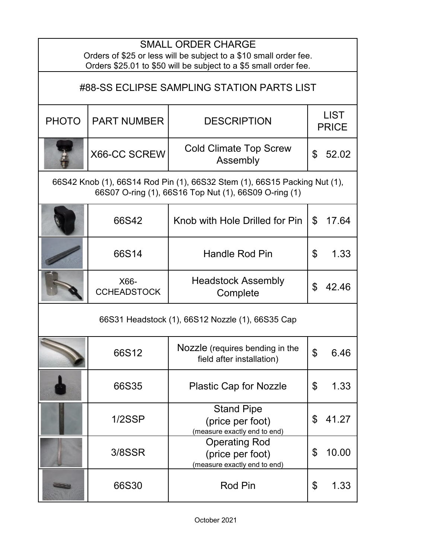| <b>SMALL ORDER CHARGE</b><br>Orders of \$25 or less will be subject to a \$10 small order fee.<br>Orders \$25.01 to \$50 will be subject to a \$5 small order fee. |                            |                                                                          |                             |       |  |
|--------------------------------------------------------------------------------------------------------------------------------------------------------------------|----------------------------|--------------------------------------------------------------------------|-----------------------------|-------|--|
| #88-SS ECLIPSE SAMPLING STATION PARTS LIST                                                                                                                         |                            |                                                                          |                             |       |  |
| <b>PHOTO</b>                                                                                                                                                       | <b>PART NUMBER</b>         | <b>DESCRIPTION</b>                                                       | <b>LIST</b><br><b>PRICE</b> |       |  |
|                                                                                                                                                                    | X66-CC SCREW               | <b>Cold Climate Top Screw</b><br>Assembly                                | \$                          | 52.02 |  |
| 66S42 Knob (1), 66S14 Rod Pin (1), 66S32 Stem (1), 66S15 Packing Nut (1),<br>66S07 O-ring (1), 66S16 Top Nut (1), 66S09 O-ring (1)                                 |                            |                                                                          |                             |       |  |
|                                                                                                                                                                    | 66S42                      | Knob with Hole Drilled for Pin                                           | $\mathfrak{L}$              | 17.64 |  |
|                                                                                                                                                                    | 66S14                      | <b>Handle Rod Pin</b>                                                    | \$                          | 1.33  |  |
|                                                                                                                                                                    | X66-<br><b>CCHEADSTOCK</b> | <b>Headstock Assembly</b><br>Complete                                    | \$                          | 42.46 |  |
| 66S31 Headstock (1), 66S12 Nozzle (1), 66S35 Cap                                                                                                                   |                            |                                                                          |                             |       |  |
|                                                                                                                                                                    | 66S12                      | Nozzle (requires bending in the<br>field after installation)             | ¢                           | 6.46  |  |
|                                                                                                                                                                    | 66S35                      | <b>Plastic Cap for Nozzle</b>                                            | \$                          | 1.33  |  |
|                                                                                                                                                                    | 1/2SSP                     | <b>Stand Pipe</b><br>(price per foot)<br>(measure exactly end to end)    | \$                          | 41.27 |  |
|                                                                                                                                                                    | 3/8SSR                     | <b>Operating Rod</b><br>(price per foot)<br>(measure exactly end to end) | \$                          | 10.00 |  |
|                                                                                                                                                                    | 66S30                      | <b>Rod Pin</b>                                                           | \$                          | 1.33  |  |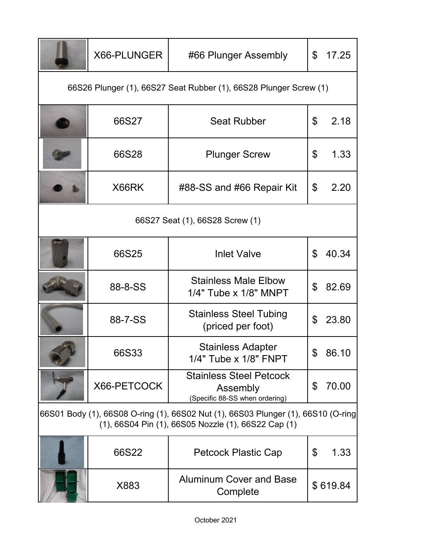|                                                                                                                                          | X66-PLUNGER | #66 Plunger Assembly                                                         | \$ | 17.25    |  |
|------------------------------------------------------------------------------------------------------------------------------------------|-------------|------------------------------------------------------------------------------|----|----------|--|
| 66S26 Plunger (1), 66S27 Seat Rubber (1), 66S28 Plunger Screw (1)                                                                        |             |                                                                              |    |          |  |
|                                                                                                                                          | 66S27       | <b>Seat Rubber</b>                                                           | \$ | 2.18     |  |
|                                                                                                                                          | 66S28       | <b>Plunger Screw</b>                                                         | \$ | 1.33     |  |
|                                                                                                                                          | X66RK       | #88-SS and #66 Repair Kit                                                    | \$ | 2.20     |  |
| 66S27 Seat (1), 66S28 Screw (1)                                                                                                          |             |                                                                              |    |          |  |
|                                                                                                                                          | 66S25       | <b>Inlet Valve</b>                                                           | \$ | 40.34    |  |
|                                                                                                                                          | 88-8-SS     | <b>Stainless Male Elbow</b><br>$1/4"$ Tube x $1/8"$ MNPT                     | \$ | 82.69    |  |
|                                                                                                                                          | 88-7-SS     | <b>Stainless Steel Tubing</b><br>(priced per foot)                           | \$ | 23.80    |  |
|                                                                                                                                          | 66S33       | <b>Stainless Adapter</b><br>1/4" Tube x 1/8" FNPT                            | \$ | 86.10    |  |
|                                                                                                                                          | X66-PETCOCK | <b>Stainless Steel Petcock</b><br>Assembly<br>(Specific 88-SS when ordering) | \$ | 70.00    |  |
| 66S01 Body (1), 66S08 O-ring (1), 66S02 Nut (1), 66S03 Plunger (1), 66S10 (O-ring<br>(1), 66S04 Pin (1), 66S05 Nozzle (1), 66S22 Cap (1) |             |                                                                              |    |          |  |
|                                                                                                                                          | 66S22       | <b>Petcock Plastic Cap</b>                                                   | \$ | 1.33     |  |
|                                                                                                                                          | X883        | <b>Aluminum Cover and Base</b><br>Complete                                   |    | \$619.84 |  |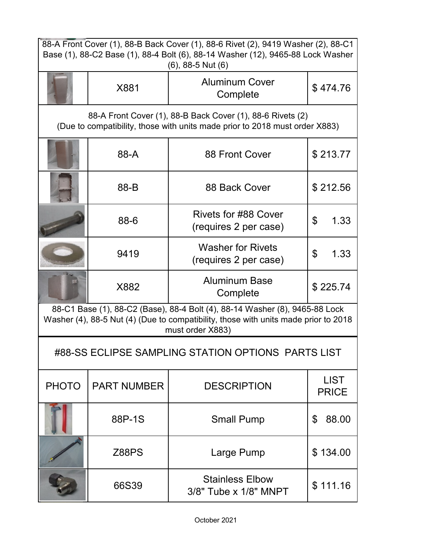| 88-A Front Cover (1), 88-B Back Cover (1), 88-6 Rivet (2), 9419 Washer (2), 88-C1<br>Base (1), 88-C2 Base (1), 88-4 Bolt (6), 88-14 Washer (12), 9465-88 Lock Washer                   |                    |                                                      |                             |  |  |
|----------------------------------------------------------------------------------------------------------------------------------------------------------------------------------------|--------------------|------------------------------------------------------|-----------------------------|--|--|
|                                                                                                                                                                                        |                    | $(6)$ , 88-5 Nut $(6)$                               |                             |  |  |
|                                                                                                                                                                                        | X881               | <b>Aluminum Cover</b><br>Complete                    | \$474.76                    |  |  |
| 88-A Front Cover (1), 88-B Back Cover (1), 88-6 Rivets (2)<br>(Due to compatibility, those with units made prior to 2018 must order X883)                                              |                    |                                                      |                             |  |  |
|                                                                                                                                                                                        | 88-A               | 88 Front Cover                                       | \$213.77                    |  |  |
|                                                                                                                                                                                        | 88-B               | 88 Back Cover                                        | \$212.56                    |  |  |
|                                                                                                                                                                                        | 88-6               | <b>Rivets for #88 Cover</b><br>(requires 2 per case) | \$<br>1.33                  |  |  |
|                                                                                                                                                                                        | 9419               | <b>Washer for Rivets</b><br>(requires 2 per case)    | \$<br>1.33                  |  |  |
|                                                                                                                                                                                        | X882               | <b>Aluminum Base</b><br>Complete                     | \$225.74                    |  |  |
| 88-C1 Base (1), 88-C2 (Base), 88-4 Bolt (4), 88-14 Washer (8), 9465-88 Lock<br>Washer (4), 88-5 Nut (4) (Due to compatibility, those with units made prior to 2018<br>must order X883) |                    |                                                      |                             |  |  |
| #88-SS ECLIPSE SAMPLING STATION OPTIONS PARTS LIST                                                                                                                                     |                    |                                                      |                             |  |  |
| <b>PHOTO</b>                                                                                                                                                                           | <b>PART NUMBER</b> | <b>DESCRIPTION</b>                                   | <b>LIST</b><br><b>PRICE</b> |  |  |
|                                                                                                                                                                                        | 88P-1S             | <b>Small Pump</b>                                    | \$<br>88.00                 |  |  |
|                                                                                                                                                                                        | <b>Z88PS</b>       | Large Pump                                           | \$134.00                    |  |  |
|                                                                                                                                                                                        | 66S39              | <b>Stainless Elbow</b><br>3/8" Tube x 1/8" MNPT      | \$111.16                    |  |  |